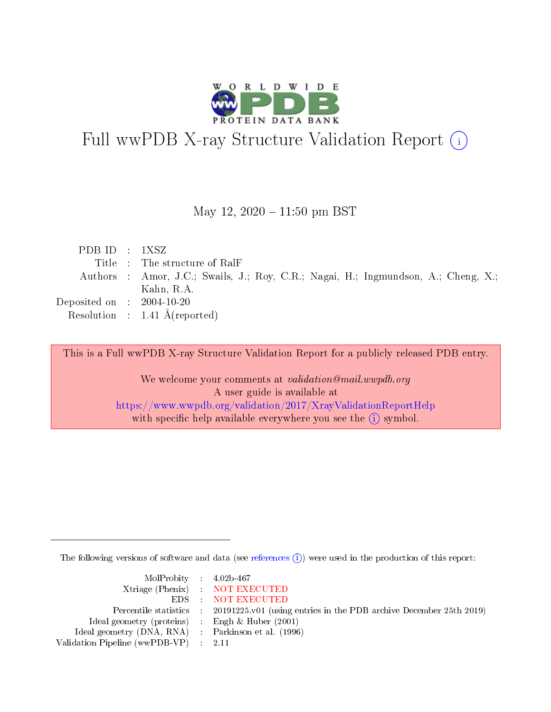

# Full wwPDB X-ray Structure Validation Report (i)

May 12,  $2020 - 11:50$  pm BST

| PDBID : 1XSZ                                                                       |
|------------------------------------------------------------------------------------|
| Title : The structure of RalF                                                      |
| Authors : Amor, J.C.; Swails, J.; Roy, C.R.; Nagai, H.; Ingmundson, A.; Cheng, X.; |
| Kahn, R.A.                                                                         |
| Deposited on $\therefore$ 2004-10-20                                               |
| Resolution : $1.41 \text{ Å}$ (reported)                                           |
|                                                                                    |

This is a Full wwPDB X-ray Structure Validation Report for a publicly released PDB entry.

We welcome your comments at validation@mail.wwpdb.org A user guide is available at <https://www.wwpdb.org/validation/2017/XrayValidationReportHelp> with specific help available everywhere you see the  $(i)$  symbol.

The following versions of software and data (see [references](https://www.wwpdb.org/validation/2017/XrayValidationReportHelp#references)  $\overline{(1)}$ ) were used in the production of this report:

| $MolProbability$ 4.02b-467                          |                                                                                            |
|-----------------------------------------------------|--------------------------------------------------------------------------------------------|
|                                                     | Xtriage (Phenix) NOT EXECUTED                                                              |
|                                                     | EDS : NOT EXECUTED                                                                         |
|                                                     | Percentile statistics : 20191225.v01 (using entries in the PDB archive December 25th 2019) |
| Ideal geometry (proteins) : Engh $\&$ Huber (2001)  |                                                                                            |
| Ideal geometry (DNA, RNA) : Parkinson et al. (1996) |                                                                                            |
| Validation Pipeline (wwPDB-VP) : 2.11               |                                                                                            |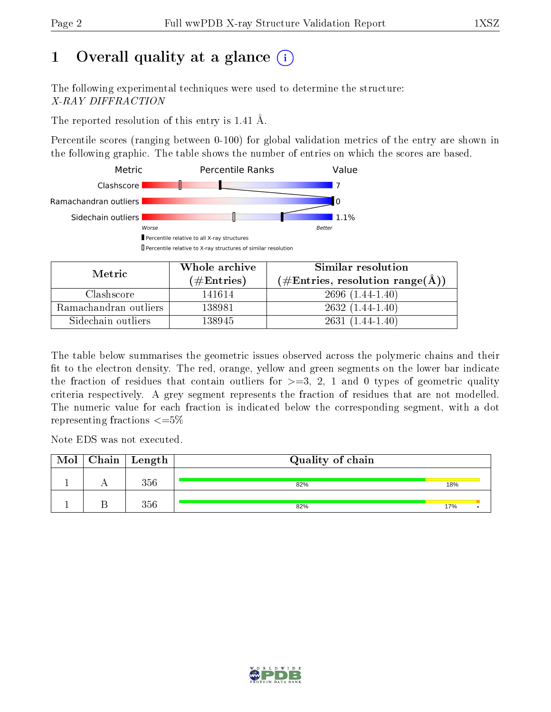# 1 [O](https://www.wwpdb.org/validation/2017/XrayValidationReportHelp#overall_quality)verall quality at a glance  $(i)$

The following experimental techniques were used to determine the structure: X-RAY DIFFRACTION

The reported resolution of this entry is 1.41 Å.

Percentile scores (ranging between 0-100) for global validation metrics of the entry are shown in the following graphic. The table shows the number of entries on which the scores are based.



| Metric                | Whole archive       | Similar resolution                                       |  |  |
|-----------------------|---------------------|----------------------------------------------------------|--|--|
|                       | (# $\rm{Entries}$ ) | $(\#\text{Entries}, \text{resolution range}(\text{\AA})$ |  |  |
| Clashscore            | 141614              | $2696(1.44-1.40)$                                        |  |  |
| Ramachandran outliers | 138981              | $2632(1.44-1.40)$                                        |  |  |
| Sidechain outliers    | 138945              | $2631(1.44-1.40)$                                        |  |  |

The table below summarises the geometric issues observed across the polymeric chains and their fit to the electron density. The red, orange, yellow and green segments on the lower bar indicate the fraction of residues that contain outliers for  $\geq=3$ , 2, 1 and 0 types of geometric quality criteria respectively. A grey segment represents the fraction of residues that are not modelled. The numeric value for each fraction is indicated below the corresponding segment, with a dot representing fractions  $\leq=5\%$ 

Note EDS was not executed.

| Mol | $\mid$ Chain $\mid$ Length | Quality of chain |     |  |  |
|-----|----------------------------|------------------|-----|--|--|
|     | 356                        | 82%              | 18% |  |  |
|     | 356                        | 82%              | 17% |  |  |

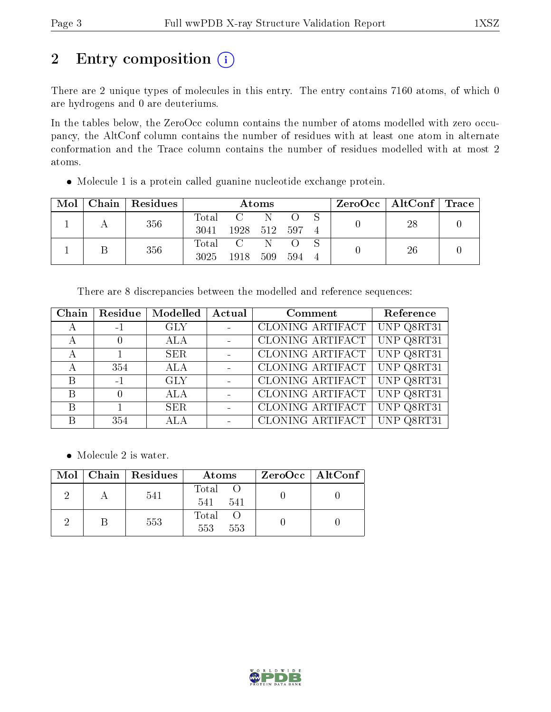# 2 Entry composition (i)

There are 2 unique types of molecules in this entry. The entry contains 7160 atoms, of which 0 are hydrogens and 0 are deuteriums.

In the tables below, the ZeroOcc column contains the number of atoms modelled with zero occupancy, the AltConf column contains the number of residues with at least one atom in alternate conformation and the Trace column contains the number of residues modelled with at most 2 atoms.

Molecule 1 is a protein called guanine nucleotide exchange protein.

| Mol | Chain   Residues | Atoms |              |     |     | ZeroOcc   AltConf   Trace |    |  |
|-----|------------------|-------|--------------|-----|-----|---------------------------|----|--|
|     | 356              | Total |              |     |     |                           | 28 |  |
|     |                  | 3041  | 1928 512 597 |     |     |                           |    |  |
|     | 356              | Total | $\mathbf{C}$ |     |     |                           | 26 |  |
|     |                  | 3025  | 1918         | 509 | 594 |                           |    |  |

There are 8 discrepancies between the modelled and reference sequences:

| Chain        | Residue | Modelled   | Actual | Comment          | Reference  |
|--------------|---------|------------|--------|------------------|------------|
| $\mathbf{A}$ | $-1$    | <b>GLY</b> |        | CLONING ARTIFACT | UNP Q8RT31 |
| А            |         | <b>ALA</b> |        | CLONING ARTIFACT | UNP Q8RT31 |
|              |         | <b>SER</b> |        | CLONING ARTIFACT | UNP Q8RT31 |
|              | 354     | <b>ALA</b> |        | CLONING ARTIFACT | UNP Q8RT31 |
| B            | $-1$    | <b>GLY</b> |        | CLONING ARTIFACT | UNP Q8RT31 |
| B            |         | <b>ALA</b> |        | CLONING ARTIFACT | UNP Q8RT31 |
| B            |         | <b>SER</b> |        | CLONING ARTIFACT | UNP Q8RT31 |
|              | 354     | ALA        |        | CLONING ARTIFACT | UNP Q8RT31 |

• Molecule 2 is water.

|  | Mol   Chain   Residues | Atoms                 | $ZeroOcc \mid AltConf \mid$ |
|--|------------------------|-----------------------|-----------------------------|
|  | 541                    | Total O<br>541<br>541 |                             |
|  | 553                    | Total<br>553<br>553   |                             |

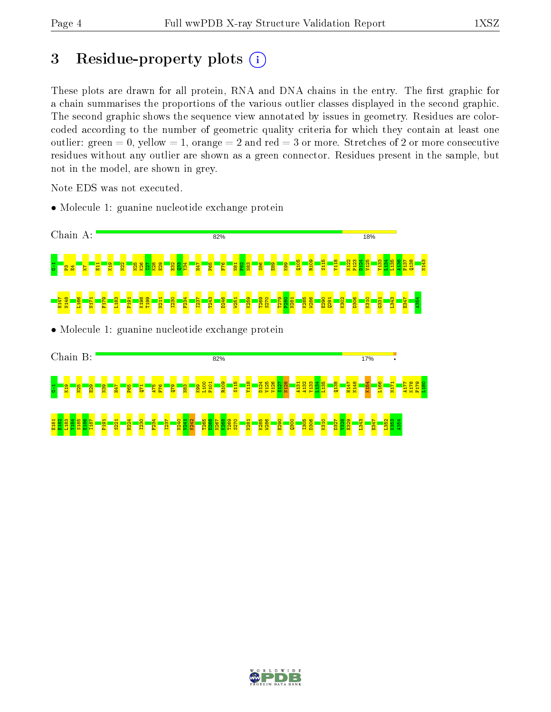## 3 Residue-property plots  $(i)$

These plots are drawn for all protein, RNA and DNA chains in the entry. The first graphic for a chain summarises the proportions of the various outlier classes displayed in the second graphic. The second graphic shows the sequence view annotated by issues in geometry. Residues are colorcoded according to the number of geometric quality criteria for which they contain at least one outlier: green  $= 0$ , yellow  $= 1$ , orange  $= 2$  and red  $= 3$  or more. Stretches of 2 or more consecutive residues without any outlier are shown as a green connector. Residues present in the sample, but not in the model, are shown in grey.

Note EDS was not executed.

• Molecule 1: guanine nucleotide exchange protein



• Molecule 1: guanine nucleotide exchange protein



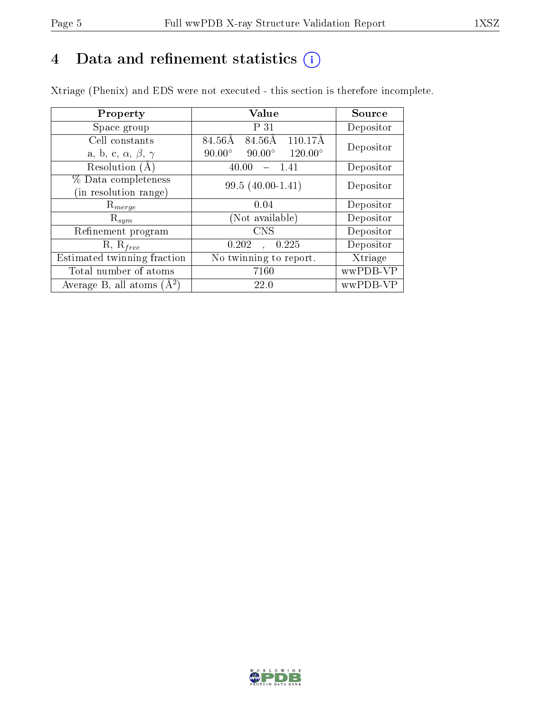# 4 Data and refinement statistics  $(i)$

Xtriage (Phenix) and EDS were not executed - this section is therefore incomplete.

| Property                               | Value                                              | <b>Source</b> |  |
|----------------------------------------|----------------------------------------------------|---------------|--|
| Space group                            | P 31                                               | Depositor     |  |
| Cell constants                         | 84.56Å<br>$110.17\text{\AA}$<br>84.56Å             | Depositor     |  |
| a, b, c, $\alpha$ , $\beta$ , $\gamma$ | $120.00^{\circ}$<br>$90.00^\circ$<br>$90.00^\circ$ |               |  |
| Resolution (A)                         | 40.00<br>- 1.41                                    | Depositor     |  |
| % Data completeness                    | $99.5(40.00-1.41)$                                 | Depositor     |  |
| (in resolution range)                  |                                                    |               |  |
| $R_{merge}$                            | 0.04                                               | Depositor     |  |
| $\mathrm{R}_{sym}$                     | Not available)                                     | Depositor     |  |
| Refinement program                     | <b>CNS</b>                                         | Depositor     |  |
| $R, R_{free}$                          | 0.225<br>0.202                                     | Depositor     |  |
| Estimated twinning fraction            | No twinning to report.                             | Xtriage       |  |
| Total number of atoms                  | 7160                                               | wwPDB-VP      |  |
| Average B, all atoms $(A^2)$           | <b>22.0</b>                                        | wwPDB-VP      |  |

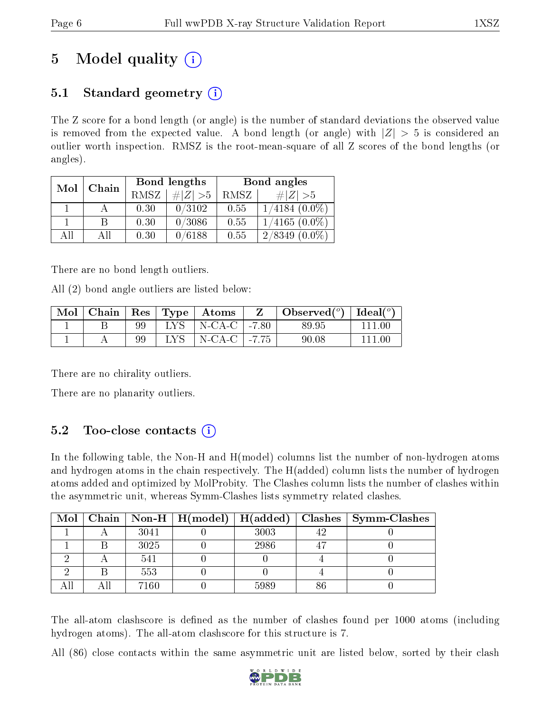# 5 Model quality  $(i)$

## 5.1 Standard geometry  $(i)$

The Z score for a bond length (or angle) is the number of standard deviations the observed value is removed from the expected value. A bond length (or angle) with  $|Z| > 5$  is considered an outlier worth inspection. RMSZ is the root-mean-square of all Z scores of the bond lengths (or angles).

| Mol | Chain |      | Bond lengths | Bond angles |                     |  |
|-----|-------|------|--------------|-------------|---------------------|--|
|     |       | RMSZ | $\# Z  > 5$  | RMSZ        | # $ Z  > 5$         |  |
|     |       | 0.30 | 0/3102       | 0.55        | $1/4184~(0.0\%)$    |  |
|     | B     | 0.30 | 0/3086       | 0.55        | $1/4165(0.0\%)$     |  |
| AH  | ΑH    | 0.30 | 0/6188       | 0.55        | 2/8349<br>$(0.0\%)$ |  |

There are no bond length outliers.

All (2) bond angle outliers are listed below:

| Mol |    |      | $\vert$ Chain $\vert$ Res $\vert$ Type $\vert$ Atoms | Observed $\binom{o}{0}$ deal $\binom{o}{0}$ |  |
|-----|----|------|------------------------------------------------------|---------------------------------------------|--|
|     | 99 |      | LYS   N-CA-C $\vert$ -7.80                           | 89.95                                       |  |
|     | 99 | LYS. | $\vert$ N-CA-C $\vert$ -7.75                         | 90.08                                       |  |

There are no chirality outliers.

There are no planarity outliers.

## $5.2$  Too-close contacts  $(i)$

In the following table, the Non-H and H(model) columns list the number of non-hydrogen atoms and hydrogen atoms in the chain respectively. The H(added) column lists the number of hydrogen atoms added and optimized by MolProbity. The Clashes column lists the number of clashes within the asymmetric unit, whereas Symm-Clashes lists symmetry related clashes.

|  |      |      | Mol   Chain   Non-H   H(model)   H(added)   Clashes   Symm-Clashes |
|--|------|------|--------------------------------------------------------------------|
|  | 3041 | 3003 |                                                                    |
|  | 3025 | 2986 |                                                                    |
|  | 541  |      |                                                                    |
|  | 553  |      |                                                                    |
|  | 7160 | 5989 |                                                                    |

The all-atom clashscore is defined as the number of clashes found per 1000 atoms (including hydrogen atoms). The all-atom clashscore for this structure is 7.

All (86) close contacts within the same asymmetric unit are listed below, sorted by their clash

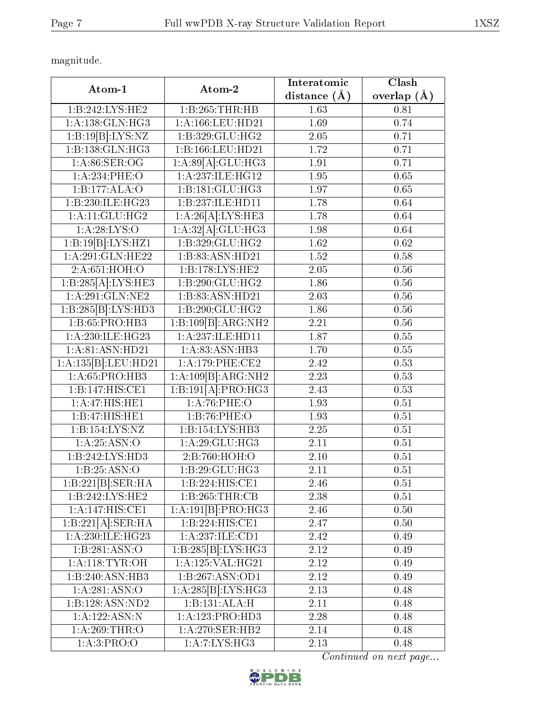magnitude.

| Atom-1                                | Atom-2                              | Interatomic       | Clash             |
|---------------------------------------|-------------------------------------|-------------------|-------------------|
|                                       |                                     | distance $(\AA)$  | overlap $(A)$     |
| 1:B:242:LYS:HE2                       | 1:B:265:THR:HB                      | 1.63              | 0.81              |
| 1:A:138:GLN:HG3                       | 1:A:166:LEU:HD21                    | 1.69              | 0.74              |
| 1:B:19[B]:LYS:NZ                      | 1:B:329:GLU:HG2                     | $2.05\,$          | 0.71              |
| 1:B:138:GLN:HG3                       | 1:B:166:LEU:HD21                    | 1.72              | 0.71              |
| 1: A:86: SER:OG                       | 1:A:89[A]:GLU:HG3                   | 1.91              | 0.71              |
| 1:A:234:PHE:O                         | 1:A:237:ILE:HG12                    | 1.95              | 0.65              |
| 1:B:177:ALA:O                         | 1:B:181:GLU:HG3                     | 1.97              | 0.65              |
| 1:B:230:ILE:HG23                      | 1:B:237:ILE:HD11                    | 1.78              | 0.64              |
| $1:$ A:11:GLU:HG2                     | 1:A:26[A]:LYS:HE3                   | 1.78              | 0.64              |
| 1: A:28:LYS:O                         | 1:A:32[A]:GLU:HG3                   | 1.98              | 0.64              |
| $1:B:19[B]\cdot LYS:HZ1$              | 1:B:329:GLU:HG2                     | 1.62              | 0.62              |
| 1: A:291: GLN: HE22                   | 1:B:83:ASN:HD21                     | 1.52              | 0.58              |
| 2:A:651:HOH:O                         | 1:B:178:LYS:HE2                     | 2.05              | 0.56              |
| 1:B:285[A]:LYS:HE3                    | 1:B:290:GLU:HG2                     | 1.86              | 0.56              |
| $1:$ A:291:GLN:NE2                    | 1:B:83:ASN:HD21                     | 2.03              | 0.56              |
| 1:B:285[B]:LYS:HD3                    | 1:B:290:GLU:HG2                     | 1.86              | 0.56              |
| 1:B:65:PRO:HB3                        | 1:B:109[B]:ARG:NH2                  | 2.21              | 0.56              |
| 1:A:230:ILE:HG23                      | 1:A:237:ILE:HD11                    | 1.87              | 0.55              |
| 1: A:81: ASN: HD21                    | 1:A:83:ASN:HB3                      | 1.70              | 0.55              |
| 1:A:135[B]:LEU:HD21                   | 1:A:179:PHE:CE2                     | 2.42              | 0.53              |
| 1:A:65:PRO:HB3                        | 1:A:109[B]:ARG:NH2                  | 2.23              | 0.53              |
| 1:B:147:HIS:CE1                       | 1:B:191[A]:PRO:HG3                  | 2.43              | 0.53              |
| 1:A:47:HIS:HE1                        | 1:A:76:PHE:O                        | 1.93              | 0.51              |
| 1:B:47:HIS:HE1                        | 1:B:76:PHE:O                        | 1.93              | 0.51              |
| 1:B:154:LYS:NZ                        | 1:B:154:LYS:HB3                     | $\overline{2.25}$ | 0.51              |
| 1: A:25: ASN:O                        | 1:A:29:GLU:HG3                      | 2.11              | 0.51              |
| 1:B:242:LYS:HD3                       | 2:B:760:HOH:O                       | 2.10              | 0.51              |
| 1: B:25: ASN:O                        | 1:B:29:GLU:HG3                      | 2.11              | 0.51              |
| $1:\overline{B:221[B]:\text{SER:HA}}$ | 1:B:224:HIS:CE1                     | 2.46              | 0.51              |
| 1:B:242:LYS:HE2                       | 1:B:265:THR:CB                      | 2.38              | 0.51              |
| 1:A:147:HIS:CE1                       | 1:A:191[B]:PRO:HG3                  | 2.46              | 0.50              |
| 1:B:221[A]:SER:HA                     | $1:B:224:HIS:\overline{\text{CE1}}$ | 2.47              | $\overline{0.50}$ |
| 1:A:230:ILE:HG23                      | 1:A:237:ILE:CD1                     | 2.42              | 0.49              |
| 1:B:281:ASN:O                         | $1:B:285\overline{[B]:LYS:HG3]}$    | 2.12              | 0.49              |
| 1: A:118: TYR:OH                      | 1:A:125:VAL:HG21                    | 2.12              | 0.49              |
| 1:B:240:ASN:HB3                       | 1:B:267:ASN:OD1                     | 2.12              | 0.49              |
| 1:A:281:ASN:O                         | 1:A:285[B]:LYS:HG3                  | 2.13              | 0.48              |
| 1:B:128:ASN:ND2                       | 1:B:131:ALA:H                       | 2.11              | 0.48              |
| 1:A:122:ASN:N                         | 1:A:123:PRO:HD3                     | 2.28              | 0.48              |
| 1: A:269:THR:O                        | 1: A:270: SER: HB2                  | 2.14              | 0.48              |
| 1: A:3: PRO:O                         | 1:A:7:LYS:HG3                       | 2.13              | 0.48              |

Continued on next page...

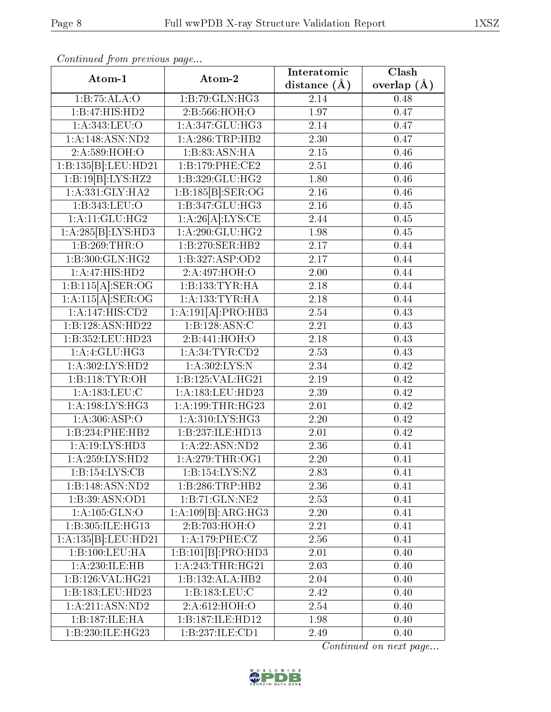| Atom-1                       | Atom-2                    | Interatomic      | Clash           |  |
|------------------------------|---------------------------|------------------|-----------------|--|
|                              |                           | distance $(\AA)$ | overlap $(\AA)$ |  |
| 1:B:75:ALA:O                 | 1:B:79:GLN:HG3            | 2.14             | 0.48            |  |
| 1:B:47:HIS:HD2               | 2:B:566:HOH:O             | 1.97             | 0.47            |  |
| 1: A:343: LEU:O              | 1: A:347: GLU:HG3         | 2.14             | 0.47            |  |
| 1: A:148: ASN:ND2            | 1: A:286:TRP:HB2          | 2.30             | 0.47            |  |
| 2:A:589:HOH:O                | 1:B:83:ASN:HA             | $2.15\,$         | 0.46            |  |
| 1:B:135[B]:LEU:HD21          | 1:B:179:PHE:CE2           | 2.51             | 0.46            |  |
| 1:B:19[B]:LYS:HZ2            | 1:B:329:GLU:HG2           | 1.80             | 0.46            |  |
| 1: A: 331: GLY: HA2          | 1:B:185[B]: <b>SER:OG</b> | 2.16             | 0.46            |  |
| 1:B:343:LEU:O                | 1: B:347: GLU: HG3        | 2.16             | 0.45            |  |
| 1: A:11: GLU: HG2            | 1:A:26[A]:LYS:CE          | 2.44             | 0.45            |  |
| 1:A:285[B]:LYS:HD3           | 1: A:290: GLU: HG2        | 1.98             | 0.45            |  |
| 1:B:269:THR:O                | 1:B:270:SER:HB2           | 2.17             | 0.44            |  |
| 1:B:300:GLN:HG2              | 1:B:327:ASP:OD2           | 2.17             | 0.44            |  |
| 1:A:47:HIS:HD2               | 2:A:497:HOH:O             | 2.00             | 0.44            |  |
| 1:B:115[A]:SER:OG            | 1:B:133:TYR:HA            | 2.18             | 0.44            |  |
| 1:A:115[A].SER:OG            | 1: A: 133: TYR: HA        | 2.18             | 0.44            |  |
| 1:A:147:HIS:CD2              | 1:A:191[A]:PRO:HB3        | 2.54             | 0.43            |  |
| 1:B:128:ASN:HD22             | 1:B:128:ASN:C             | 2.21             | 0.43            |  |
| 1:B:352:LEU:HD23             | 2:B:441:HOH:O             | 2.18             | 0.43            |  |
| 1:A:4:GLU:HG3                | 1: A:34:TYR:CD2           | 2.53             | 0.43            |  |
| 1: A:302: LYS: HD2           | 1: A:302:LYS:N            | 2.34             | 0.42            |  |
| 1:B:118:TYR:OH               | 1:B:125:VAL:HG21          | 2.19             | 0.42            |  |
| 1: A: 183: LEU: C            | 1:A:183:LEU:HD23          | 2.39             | 0.42            |  |
| 1: A:198: LYS: HG3           | 1:A:199:THR:HG23          | 2.01             | 0.42            |  |
| 1: A:306: ASP:O              | 1:A:310:LYS:HG3           | 2.20             | 0.42            |  |
| 1:B:234:PHE:HB2              | 1:B:237:ILE:HD13          | 2.01             | 0.42            |  |
| 1:A:19:LYS:HD3               | 1:A:22:ASN:ND2            | 2.36             | 0.41            |  |
| 1: A:259: LYS: HD2           | 1: A:279:THR:OG1          | 2.20             | 0.41            |  |
| 1:B:154:LYS:CB               | 1:B:154:LYS:NZ            | 2.83             | 0.41            |  |
| 1:B:148:ASN:ND2              | 1:B:286:TRP:HB2           | 2.36             | 0.41            |  |
| 1:B:39:ASN:OD1               | 1:B:71:GLN:NE2            | 2.53             | 0.41            |  |
| 1: A: 105: GLN:O             | 1:A:109[B]:ARG:HG3        | 2.20             | 0.41            |  |
| 1:B:305:ILE:HG13             | 2:B:703:HOH:O             | 2.21             | 0.41            |  |
| 1:A:135[B]:LEU:HD21          | 1:A:179:PHE:CZ            | 2.56             | 0.41            |  |
| 1:B:100:LEU:HA               | 1:B:101[B]:PRO:HD3        | 2.01             | 0.40            |  |
| 1:A:230:ILE:HB               | 1:A:243:THR:HG21          | 2.03             | 0.40            |  |
| 1: B: 126: VAL: HG21         | 1:B:132:ALA:HB2           | 2.04             | 0.40            |  |
| 1:B:183:LEU:HD23             | 1:B:183:LEU:C             | 2.42             | 0.40            |  |
| $1:A:211:ASN:N\overline{D2}$ | 2:A:612:HOH:O             | 2.54             | 0.40            |  |
| 1:B:187:ILE:HA               | 1:B:187:ILE:HD12          | 1.98             | 0.40            |  |
| 1:B:230:ILE:HG23             | 1:B:237:ILE:CD1           | 2.49             | 0.40            |  |

Continued from previous page...

Continued on next page...

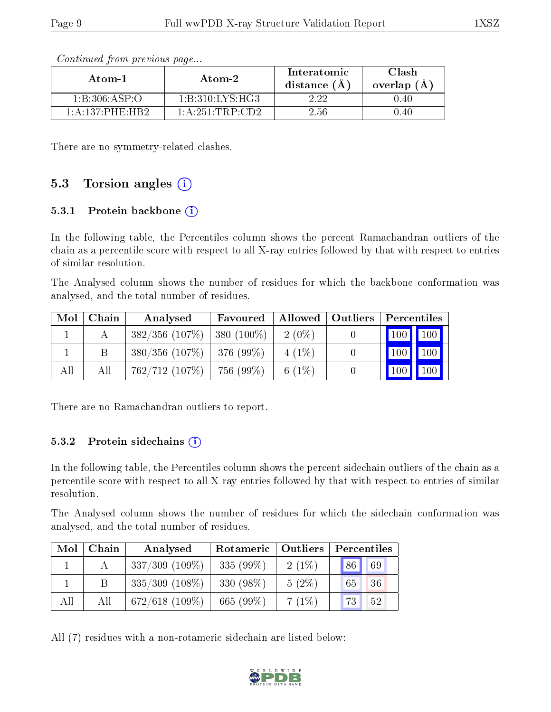| Atom-2<br>Atom-1    |                  | Interatomic<br>distance (A | Clash<br>overlap (A) |  |
|---------------------|------------------|----------------------------|----------------------|--|
| 1: B: 306: ASP:O    | 1:B:310:LYS:HG3  | 222                        | (1.40)               |  |
| 1: A: 137: PHE: HR2 | 1: A:251:TRP:CD2 | 2.56                       | ().4()               |  |

Continued from previous page...

There are no symmetry-related clashes.

#### 5.3 Torsion angles  $(i)$

#### 5.3.1 Protein backbone  $(i)$

In the following table, the Percentiles column shows the percent Ramachandran outliers of the chain as a percentile score with respect to all X-ray entries followed by that with respect to entries of similar resolution.

The Analysed column shows the number of residues for which the backbone conformation was analysed, and the total number of residues.

| $\bf{Mol}$ | Chain | Analysed                       | Favoured     |          | Allowed   Outliers | Percentiles |  |
|------------|-------|--------------------------------|--------------|----------|--------------------|-------------|--|
|            |       | 382/356(107%)                  | $380(100\%)$ | $2(0\%)$ |                    | 100 100     |  |
|            |       | $380/356$ (107\%)   376 (99\%) |              | $4(1\%)$ |                    | 100 100     |  |
| All        | Αll   | 762/712(107%)                  | 756 (99%)    | 6 $(1%)$ |                    | 100 100     |  |

There are no Ramachandran outliers to report.

#### 5.3.2 Protein sidechains  $(i)$

In the following table, the Percentiles column shows the percent sidechain outliers of the chain as a percentile score with respect to all X-ray entries followed by that with respect to entries of similar resolution.

The Analysed column shows the number of residues for which the sidechain conformation was analysed, and the total number of residues.

| Mol | Chain | Analysed          | Rotameric   Outliers |          | Percentiles |
|-----|-------|-------------------|----------------------|----------|-------------|
|     |       | $337/309$ (109%)  | $335(99\%)$          | $2(1\%)$ | 69<br>86    |
|     | B     | $335/309$ (108\%) | 330 $(98\%)$         | $5(2\%)$ | 36<br>65    |
| All | All   | $672/618$ (109\%) | 665 $(99\%)$         | $7(1\%)$ | 73<br>52    |

All (7) residues with a non-rotameric sidechain are listed below:

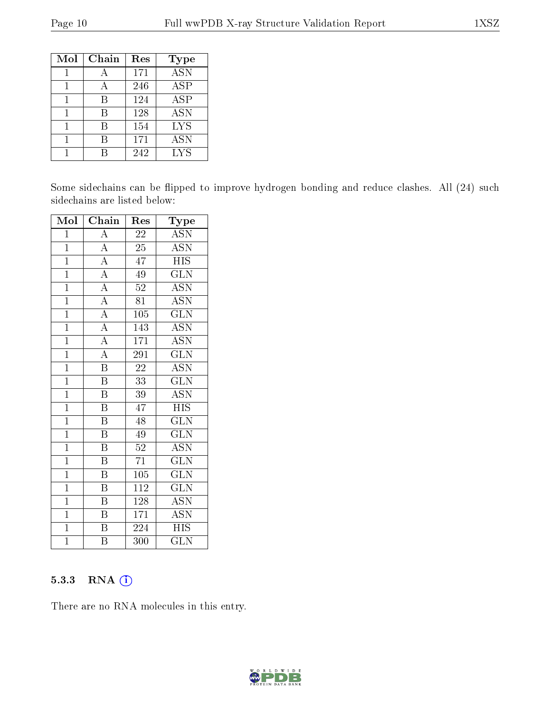| Mol | Chain | Res | <b>Type</b>       |
|-----|-------|-----|-------------------|
|     |       | 171 | $\overline{ASN}$  |
|     |       | 246 | <b>ASP</b>        |
|     | В     | 124 | ASP               |
|     | R     | 128 | $\overline{A}$ SN |
|     | R     | 154 | <b>LYS</b>        |
|     |       | 171 | <b>ASN</b>        |
|     |       | 242 | LYS               |

Some sidechains can be flipped to improve hydrogen bonding and reduce clashes. All (24) such sidechains are listed below:

| Mol            | Chain                               | Res              | Type                      |
|----------------|-------------------------------------|------------------|---------------------------|
| $\mathbf{1}$   | $\overline{A}$                      | $\overline{22}$  | $\overline{\text{ASN}}$   |
| $\mathbf{1}$   | $\frac{\overline{A}}{A}$            | 25               | $\overline{\text{ASN}}$   |
| $\mathbf{1}$   |                                     | 47               | <b>HIS</b>                |
| $\mathbf{1}$   |                                     | 49               | GLN                       |
| $\mathbf{1}$   | $\frac{1}{\overline{A}}$            | 52               | <b>ASN</b>                |
| $\overline{1}$ | $\frac{\overline{A}}{\overline{A}}$ | 81               | $\overline{\mathrm{ASN}}$ |
| $\overline{1}$ |                                     | 105              | <b>GLN</b>                |
| $\overline{1}$ | $\frac{\overline{A}}{\overline{A}}$ | 143              | $\overline{\mathrm{ASN}}$ |
| $\overline{1}$ |                                     | 171              | $\overline{\mathrm{ASN}}$ |
| $\mathbf{1}$   | $\overline{A}$                      | 291              | <b>GLN</b>                |
| $\mathbf{1}$   | $\overline{\mathrm{B}}$             | $\overline{22}$  | $\overline{\mathrm{ASN}}$ |
| $\mathbf{1}$   | $\, {\bf B}$                        | $33\overline{3}$ | $\widetilde{{\rm GLN}}$   |
| $\overline{1}$ | $\overline{\mathrm{B}}$             | 39               | $\overline{\mathrm{ASN}}$ |
| $\mathbf{1}$   | $\boldsymbol{B}$                    | 47               | <b>HIS</b>                |
| $\overline{1}$ | $\boldsymbol{B}$                    | 48               | <b>GLN</b>                |
| $\overline{1}$ | $\boldsymbol{B}$                    | 49               | $\overline{\text{GLN}}$   |
| $\overline{1}$ | B                                   | 52               | <b>ASN</b>                |
| $\overline{1}$ | $\overline{\mathrm{B}}$             | $\overline{71}$  | $\overline{\text{GLN}}$   |
| $\overline{1}$ | $\overline{\mathrm{B}}$             | 105              | <b>GLN</b>                |
| $\overline{1}$ | $\overline{\mathrm{B}}$             | $\overline{112}$ | $\overline{\text{GLN}}$   |
| $\overline{1}$ | $\overline{\mathrm{B}}$             | 128              | <b>ASN</b>                |
| $\overline{1}$ | $\overline{B}$                      | $\overline{1}71$ | <b>ASN</b>                |
| $\overline{1}$ | $\overline{\mathrm{B}}$             | 224              | <b>HIS</b>                |
| $\overline{1}$ | B                                   | 300              | <b>GLN</b>                |

#### 5.3.3 RNA [O](https://www.wwpdb.org/validation/2017/XrayValidationReportHelp#rna)i

There are no RNA molecules in this entry.

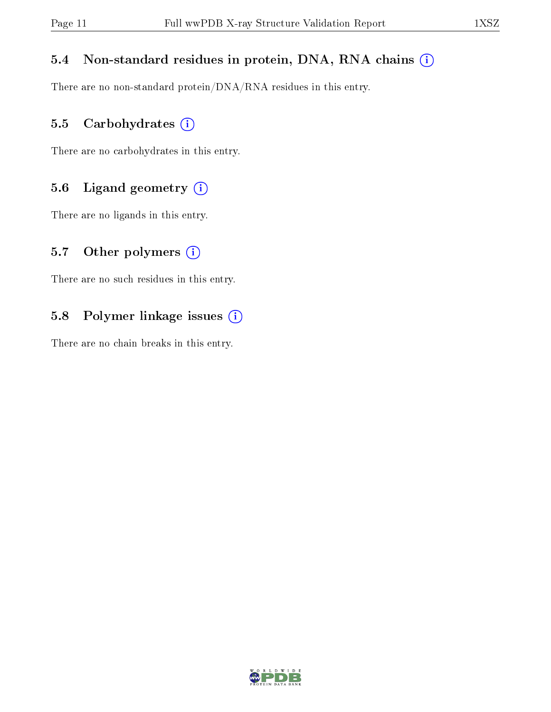#### 5.4 Non-standard residues in protein, DNA, RNA chains (i)

There are no non-standard protein/DNA/RNA residues in this entry.

#### 5.5 Carbohydrates (i)

There are no carbohydrates in this entry.

#### 5.6 Ligand geometry (i)

There are no ligands in this entry.

#### 5.7 [O](https://www.wwpdb.org/validation/2017/XrayValidationReportHelp#nonstandard_residues_and_ligands)ther polymers  $(i)$

There are no such residues in this entry.

#### 5.8 Polymer linkage issues (i)

There are no chain breaks in this entry.